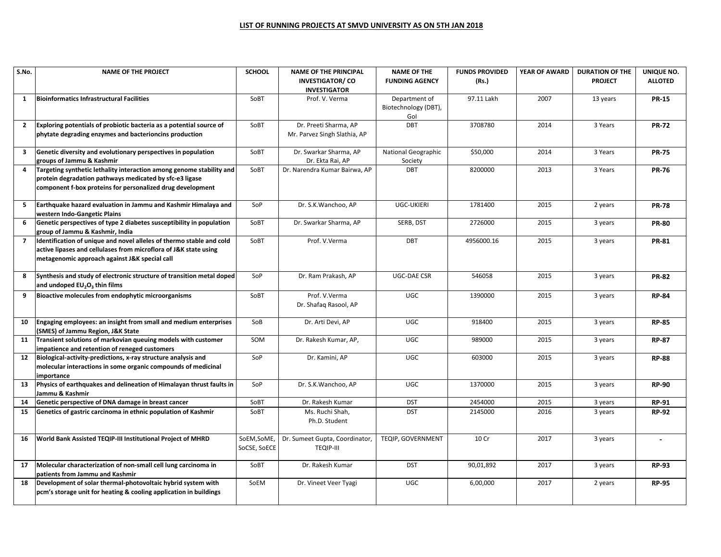## **LIST OF RUNNING PROJECTS AT SMVD UNIVERSITY AS ON 5TH JAN 2018**

| S.No.                    | <b>NAME OF THE PROJECT</b>                                                                                                                                                                    | <b>SCHOOL</b>               | <b>NAME OF THE PRINCIPAL</b><br><b>INVESTIGATOR/CO</b><br><b>INVESTIGATOR</b> | <b>NAME OF THE</b><br><b>FUNDING AGENCY</b>  | <b>FUNDS PROVIDED</b><br>(Rs.) | YEAR OF AWARD | <b>DURATION OF THE</b><br><b>PROJECT</b> | UNIQUE NO.<br><b>ALLOTED</b> |
|--------------------------|-----------------------------------------------------------------------------------------------------------------------------------------------------------------------------------------------|-----------------------------|-------------------------------------------------------------------------------|----------------------------------------------|--------------------------------|---------------|------------------------------------------|------------------------------|
| 1                        | <b>Bioinformatics Infrastructural Facilities</b>                                                                                                                                              | SoBT                        | Prof. V. Verma                                                                | Department of<br>Biotechnology (DBT),<br>Gol | 97.11 Lakh                     | 2007          | 13 years                                 | <b>PR-15</b>                 |
| $\overline{2}$           | Exploring potentials of probiotic bacteria as a potential source of<br>phytate degrading enzymes and bacterioncins production                                                                 | SoBT                        | Dr. Preeti Sharma, AP<br>Mr. Parvez Singh Slathia, AP                         | DBT                                          | 3708780                        | 2014          | 3 Years                                  | <b>PR-72</b>                 |
| $\overline{\mathbf{3}}$  | Genetic diversity and evolutionary perspectives in population<br>groups of Jammu & Kashmir                                                                                                    | SoBT                        | Dr. Swarkar Sharma, AP<br>Dr. Ekta Rai, AP                                    | National Geographic<br>Society               | \$50,000                       | 2014          | 3 Years                                  | <b>PR-75</b>                 |
| 4                        | Targeting synthetic lethality interaction among genome stability and<br>protein degradation pathways medicated by sfc-e3 ligase<br>component f-box proteins for personalized drug development | SoBT                        | Dr. Narendra Kumar Bairwa, AP                                                 | <b>DBT</b>                                   | 8200000                        | 2013          | 3 Years                                  | <b>PR-76</b>                 |
| 5                        | Earthquake hazard evaluation in Jammu and Kashmir Himalaya and<br>western Indo-Gangetic Plains                                                                                                | SoP                         | Dr. S.K. Wanchoo, AP                                                          | <b>UGC-UKIERI</b>                            | 1781400                        | 2015          | 2 years                                  | <b>PR-78</b>                 |
| 6                        | Genetic perspectives of type 2 diabetes susceptibility in population<br>group of Jammu & Kashmir, India                                                                                       | SoBT                        | Dr. Swarkar Sharma, AP                                                        | SERB, DST                                    | 2726000                        | 2015          | 3 years                                  | <b>PR-80</b>                 |
| $\overline{\phantom{a}}$ | Identification of unique and novel alleles of thermo stable and cold<br>active lipases and cellulases from microflora of J&K state using<br>metagenomic approach against J&K special call     | SoBT                        | Prof. V.Verma                                                                 | <b>DBT</b>                                   | 4956000.16                     | 2015          | 3 years                                  | <b>PR-81</b>                 |
| 8                        | Synthesis and study of electronic structure of transition metal doped<br>and undoped $EU_2O_3$ thin films                                                                                     | SoP                         | Dr. Ram Prakash, AP                                                           | <b>UGC-DAE CSR</b>                           | 546058                         | 2015          | 3 years                                  | <b>PR-82</b>                 |
| 9                        | Bioactive molecules from endophytic microorganisms                                                                                                                                            | SoBT                        | Prof. V.Verma<br>Dr. Shafaq Rasool, AP                                        | <b>UGC</b>                                   | 1390000                        | 2015          | 3 years                                  | <b>RP-84</b>                 |
| 10                       | Engaging employees: an insight from small and medium enterprises<br>(SMES) of Jammu Region, J&K State                                                                                         | SoB                         | Dr. Arti Devi, AP                                                             | UGC                                          | 918400                         | 2015          | 3 years                                  | <b>RP-85</b>                 |
| 11                       | Transient solutions of markovian queuing models with customer<br>impatience and retention of reneged customers                                                                                | SOM                         | Dr. Rakesh Kumar, AP,                                                         | UGC                                          | 989000                         | 2015          | 3 years                                  | <b>RP-87</b>                 |
| 12                       | Biological-activity-predictions, x-ray structure analysis and<br>molecular interactions in some organic compounds of medicinal<br>importance                                                  | SoP                         | Dr. Kamini, AP                                                                | UGC                                          | 603000                         | 2015          | 3 years                                  | <b>RP-88</b>                 |
| 13                       | Physics of earthquakes and delineation of Himalayan thrust faults in<br>Jammu & Kashmir                                                                                                       | SoP                         | Dr. S.K. Wanchoo, AP                                                          | <b>UGC</b>                                   | 1370000                        | 2015          | 3 years                                  | <b>RP-90</b>                 |
| 14                       | Genetic perspective of DNA damage in breast cancer                                                                                                                                            | SoBT                        | Dr. Rakesh Kumar                                                              | <b>DST</b>                                   | 2454000                        | 2015          | 3 years                                  | <b>RP-91</b>                 |
| 15                       | Genetics of gastric carcinoma in ethnic population of Kashmir                                                                                                                                 | SoBT                        | Ms. Ruchi Shah,<br>Ph.D. Student                                              | <b>DST</b>                                   | 2145000                        | 2016          | 3 years                                  | <b>RP-92</b>                 |
| 16                       | World Bank Assisted TEQIP-III Institutional Project of MHRD                                                                                                                                   | SoEM, SoME,<br>SoCSE, SoECE | Dr. Sumeet Gupta, Coordinator,<br><b>TEQIP-III</b>                            | TEQIP, GOVERNMENT                            | 10 Cr                          | 2017          | 3 years                                  |                              |
| 17                       | Molecular characterization of non-small cell lung carcinoma in<br>patients from Jammu and Kashmir                                                                                             | SoBT                        | Dr. Rakesh Kumar                                                              | <b>DST</b>                                   | 90,01,892                      | 2017          | 3 years                                  | <b>RP-93</b>                 |
| 18                       | Development of solar thermal-photovoltaic hybrid system with<br>pcm's storage unit for heating & cooling application in buildings                                                             | SoEM                        | Dr. Vineet Veer Tyagi                                                         | <b>UGC</b>                                   | 6,00,000                       | 2017          | 2 years                                  | <b>RP-95</b>                 |